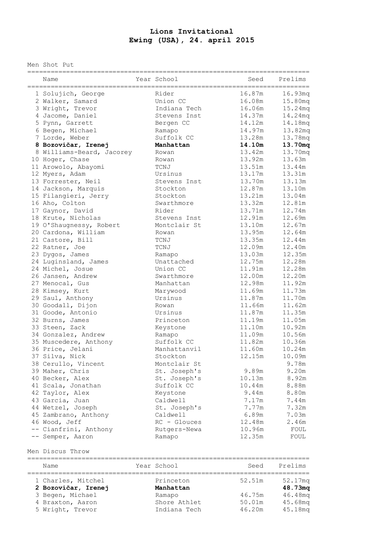## **Lions Invitational Ewing (USA), 24. april 2015**

Men Shot Put

| Name<br>=============================== | Year School                  | Seed<br>_____________________ | ========<br>Prelims |
|-----------------------------------------|------------------------------|-------------------------------|---------------------|
| 1 Solujich, George                      | Rider                        | 16.87m                        | 16.93mg             |
| 2 Walker, Samard                        | Union CC                     | 16.08m                        | 15.80mg             |
| 3 Wright, Trevor                        | Indiana Tech                 | 16.06m                        | 15.24mg             |
| 4 Jacome, Daniel                        | Stevens Inst                 | 14.37m                        | 14.24mq             |
| 5 Pynn, Garrett                         | Bergen CC                    | 14.12m                        | 14.18mq             |
| 6 Begen, Michael                        | Ramapo                       | 14.97m                        | 13.82mq             |
| 7 Lorde, Weber                          | Suffolk CC                   | 13.28m                        | 13.78mq             |
| 8 Bozovičar, Irenej                     | Manhattan                    | 14.10m                        | 13.70mq             |
| 8 Williams-Beard, Jacorey               | Rowan                        | 13.42m                        | 13.70mq             |
| 10 Hoger, Chase                         | Rowan                        | 13.92m                        | 13.63m              |
| 11 Arowolo, Abayomi                     | TCNJ                         | 13.51m                        | 13.44m              |
| 12 Myers, Adam                          | Ursinus                      | 13.17m                        | 13.31m              |
| 13 Forrester, Neil                      | Stevens Inst                 | 13.70m                        | 13.13m              |
| 14 Jackson, Marquis                     | Stockton                     | 12.87m                        | 13.10m              |
| 15 Filangieri, Jerry                    | Stockton                     | 13.21m                        | 13.04m              |
| 16 Aho, Colton                          | Swarthmore                   | 13.32m                        | 12.81m              |
|                                         | Rider                        | 13.71m                        | 12.74m              |
| 17 Gaynor, David                        |                              |                               |                     |
| 18 Krute, Nicholas                      | Stevens Inst<br>Montclair St | 12.91m                        | 12.69m              |
| 19 O'Shaugnessy, Robert                 |                              | 13.10m                        | 12.67m              |
| 20 Cardona, William                     | Rowan                        | 13.95m                        | 12.64m              |
| 21 Castore, Bill                        | TCNJ                         | 13.35m                        | 12.44m              |
| 22 Ratner, Joe                          | TCNJ                         | 12.09m                        | 12.40m              |
| 23 Dygos, James                         | Ramapo                       | 13.03m                        | 12.35m              |
| 24 Luginsland, James                    | Unattached                   | 12.75m                        | 12.28m              |
| 24 Michel, Josue                        | Union CC                     | 11.91m                        | 12.28m              |
| 26 Jansen, Andrew                       | Swarthmore                   | 12.00m                        | 12.20m              |
| 27 Menocal, Gus                         | Manhattan                    | 12.98m                        | 11.92m              |
| 28 Kimsey, Kurt                         | Marywood                     | 11.69m                        | 11.73m              |
| 29 Saul, Anthony                        | Ursinus                      | 11.87m                        | 11.70m              |
| 30 Goodall, Dijon                       | Rowan                        | 11.66m                        | 11.62m              |
| 31 Goode, Antonio                       | Ursinus                      | 11.87m                        | 11.35m              |
| 32 Burns, James                         | Princeton                    | 11.19m                        | 11.05m              |
| 33 Steen, Zack                          | Keystone                     | 11.10m                        | 10.92m              |
| 34 Gonzalez, Andrew                     | Ramapo                       | 11.09m                        | 10.56m              |
| 35 Muscedere, Anthony                   | Suffolk CC                   | 11.82m                        | 10.36m              |
| 36 Price, Jelani                        | Manhattanvil                 | 11.60m                        | 10.24m              |
| 37 Silva, Nick                          | Stockton                     | 12.15m                        | 10.09m              |
| 38 Cerullo, Vincent                     | Montclair St                 |                               | 9.78m               |
| 39 Maher, Chris                         | St. Joseph's                 | 9.89m                         | 9.20m               |
| 40 Becker, Alex                         | St. Joseph's                 | 10.13m                        | 8.92m               |
| 41 Scala, Jonathan                      | Suffolk CC                   | 10.44m                        | 8.88m               |
| 42 Taylor, Alex                         | Keystone                     | 9.44m                         | 8.80m               |
| 43 Garcia, Juan                         | Caldwell                     | 7.17m                         | 7.44m               |
| 44 Wetzel, Joseph                       | St. Joseph's                 | 7.77m                         | 7.32m               |
| 45 Zambrano, Anthony                    | Caldwell                     | 6.89m                         | 7.03m               |
| 46 Wood, Jeff                           | $RC - Glouces$               | 12.48m                        | 2.46m               |
| -- Cianfrini, Anthony                   | Rutgers-Newa                 | 10.96m                        | FOUL                |
| -- Semper, Aaron                        | Ramapo                       | 12.35m                        | FOUL                |

Men Discus Throw

| Name                | Year School  | Seed   | Prelims             |
|---------------------|--------------|--------|---------------------|
| 1 Charles, Mitchel  | Princeton    | 52.51m | 52.17mg             |
| 2 Bozovičar, Irenej | Manhattan    |        | 48.73mg             |
| 3 Begen, Michael    | Ramapo       | 46.75m | 46.48mg             |
| 4 Braxton, Aaron    | Shore Athlet | 50.01m | 45.68mg             |
| 5 Wright, Trevor    | Indiana Tech | 46.20m | 45.18 <sub>mq</sub> |